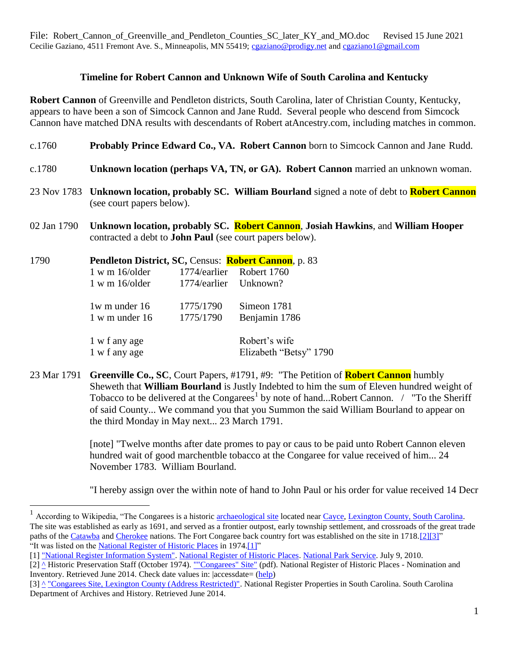File: Robert Cannon of Greenville and Pendleton Counties SC later KY and MO.doc Revised 15 June 2021 Cecilie Gaziano, 4511 Fremont Ave. S., Minneapolis, MN 55419; [cgaziano@prodigy.net](mailto:cgaziano@prodigy.net) an[d cgaziano1@gmail.com](mailto:cgaziano1@gmail.com)

## **Timeline for Robert Cannon and Unknown Wife of South Carolina and Kentucky**

**Robert Cannon** of Greenville and Pendleton districts, South Carolina, later of Christian County, Kentucky, appears to have been a son of Simcock Cannon and Jane Rudd. Several people who descend from Simcock Cannon have matched DNA results with descendants of Robert atAncestry.com, including matches in common.

- c.1760 **Probably Prince Edward Co., VA. Robert Cannon** born to Simcock Cannon and Jane Rudd.
- c.1780 **Unknown location (perhaps VA, TN, or GA). Robert Cannon** married an unknown woman.
- 23 Nov 1783 **Unknown location, probably SC. William Bourland** signed a note of debt to **Robert Cannon** (see court papers below).
- 02 Jan 1790 **Unknown location, probably SC. Robert Cannon**, **Josiah Hawkins**, and **William Hooper** contracted a debt to **John Paul** (see court papers below).

| 1790 |                        |                       | Pendleton District, SC, Census: Robert Cannon, p. 83 |
|------|------------------------|-----------------------|------------------------------------------------------|
|      | $1 \le m \le 16$ older |                       | 1774/earlier Robert 1760                             |
|      | $1 \le m \le 16$ older | 1774/earlier Unknown? |                                                      |
|      | $1w$ m under $16$      | 1775/1790             | Simeon 1781                                          |
|      | $1 w m$ under $16$     | 1775/1790             | Benjamin 1786                                        |
|      | 1 w f any age          |                       | Robert's wife                                        |
|      | 1 w f any age          |                       | Elizabeth "Betsy" 1790                               |

 $\overline{a}$ 

23 Mar 1791 **Greenville Co., SC**, Court Papers, #1791, #9: "The Petition of **Robert Cannon** humbly Sheweth that **William Bourland** is Justly Indebted to him the sum of Eleven hundred weight of Tobacco to be delivered at the Congarees<sup>1</sup> by note of hand...Robert Cannon.  $\sqrt{\ }$  "To the Sheriff of said County... We command you that you Summon the said William Bourland to appear on the third Monday in May next... 23 March 1791.

> [note] "Twelve months after date promes to pay or caus to be paid unto Robert Cannon eleven hundred wait of good marchentble tobacco at the Congaree for value received of him... 24 November 1783. William Bourland.

"I hereby assign over the within note of hand to John Paul or his order for value received 14 Decr

<sup>&</sup>lt;sup>1</sup> According to Wikipedia, "The Congarees is a historic **[archaeological site](https://en.wikipedia.org/wiki/Archaeological_site)** located near [Cayce,](https://en.wikipedia.org/wiki/Cayce,_South_Carolina) [Lexington County, South Carolina.](https://en.wikipedia.org/wiki/Lexington_County,_South_Carolina) The site was established as early as 1691, and served as a frontier outpost, early township settlement, and crossroads of the great trade paths of the [Catawba](https://en.wikipedia.org/wiki/Catawba_people) and [Cherokee](https://en.wikipedia.org/wiki/Cherokee) nations. The Fort Congaree back country fort was established on the site in 1718[.\[2\]\[3\]"](https://en.wikipedia.org/wiki/The_Congarees#cite_note-nrhpinv-2) "It was listed on the [National Register of Historic Places](https://en.wikipedia.org/wiki/National_Register_of_Historic_Places) in 197[4.\[1\]"](https://en.wikipedia.org/wiki/The_Congarees#cite_note-nris-1)

<sup>[1]</sup> ["National Register Information System".](https://npgallery.nps.gov/NRHP) [National Register of Historic Places.](https://en.wikipedia.org/wiki/National_Register_of_Historic_Places) [National Park Service.](https://en.wikipedia.org/wiki/National_Park_Service) July 9, 2010.

<sup>[2]</sup> [^](https://en.wikipedia.org/wiki/The_Congarees#cite_ref-nrhpinv_2-0) Historic Preservation Staff (October 1974). [""Congarees" Site"](http://www.nationalregister.sc.gov/lexington/S10817732005/S10817732005.pdf) (pdf). National Register of Historic Places - Nomination and Inventory. Retrieved June 2014. Check date values in: |accessdate= [\(help\)](https://en.wikipedia.org/wiki/Help:CS1_errors#bad_date)

<sup>[3]</sup> [^](https://en.wikipedia.org/wiki/The_Congarees#cite_ref-scdah_3-0) ["Congarees Site, Lexington County \(Address Restricted\)".](http://www.nationalregister.sc.gov/lexington/S10817732005/index.htm) National Register Properties in South Carolina. South Carolina Department of Archives and History. Retrieved June 2014.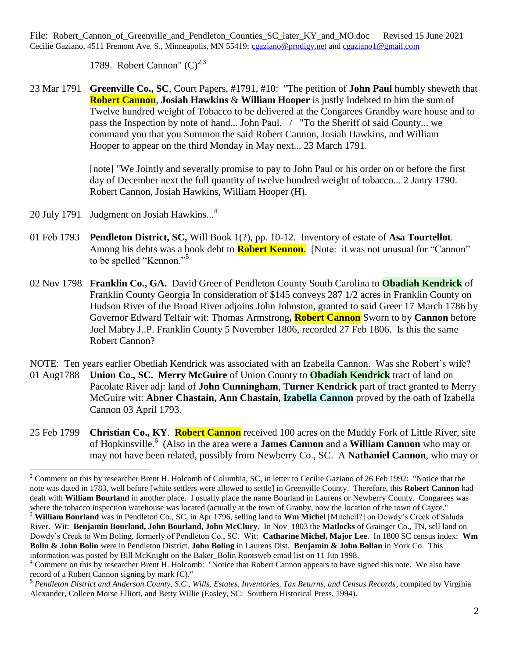File: Robert\_Cannon\_of\_Greenville\_and\_Pendleton\_Counties\_SC\_later\_KY\_and\_MO.doc Revised 15 June 2021 Cecilie Gaziano, 4511 Fremont Ave. S., Minneapolis, MN 55419; [cgaziano@prodigy.net](mailto:cgaziano@prodigy.net) an[d cgaziano1@gmail.com](mailto:cgaziano1@gmail.com)

1789. Robert Cannon"  $(C)^{2,3}$ 

23 Mar 1791 **Greenville Co., SC**, Court Papers, #1791, #10: "The petition of **John Paul** humbly sheweth that **Robert Cannon**, **Josiah Hawkins** & **William Hooper** is justly Indebted to him the sum of Twelve hundred weight of Tobacco to be delivered at the Congarees Grandby ware house and to pass the Inspection by note of hand... John Paul. / "To the Sheriff of said County... we command you that you Summon the said Robert Cannon, Josiah Hawkins, and William Hooper to appear on the third Monday in May next... 23 March 1791.

> [note] "We Jointly and severally promise to pay to John Paul or his order on or before the first day of December next the full quantity of twelve hundred weight of tobacco... 2 Janry 1790. Robert Cannon, Josiah Hawkins, William Hooper (H).

20 July 1791 Judgment on Josiah Hawkins...<sup>4</sup>

 $\overline{a}$ 

- 01 Feb 1793 **Pendleton District, SC,** Will Book 1(?), pp. 10-12. Inventory of estate of **Asa Tourtellot**. Among his debts was a book debt to **Robert Kennon**. [Note: it was not unusual for "Cannon" to be spelled "Kennon."<sup>5</sup>
- 02 Nov 1798 **Franklin Co., GA.** David Greer of Pendleton County South Carolina to **Obadiah Kendrick** of Franklin County Georgia In consideration of \$145 conveys 287 1/2 acres in Franklin County on Hudson River of the Broad River adjoins John Johnston, granted to said Greer 17 March 1786 by Governor Edward Telfair wit: Thomas Armstrong**, Robert Cannon** Sworn to by **Cannon** before Joel Mabry J..P. Franklin County 5 November 1806, recorded 27 Feb 1806. Is this the same Robert Cannon?

NOTE: Ten years earlier Obediah Kendrick was associated with an Izabella Cannon. Was she Robert's wife?

- 01 Aug1788 **Union Co., SC. Merry McGuire** of Union County to **Obadiah Kendrick** tract of land on Pacolate River adj: land of **John Cunningham**, **Turner Kendrick** part of tract granted to Merry McGuire wit: **Abner Chastain, Ann Chastain, Izabella Cannon** proved by the oath of Izabella Cannon 03 April 1793.
- 25 Feb 1799 **Christian Co., KY**. **Robert Cannon** received 100 acres on the Muddy Fork of Little River, site of Hopkinsville.<sup>6</sup> (Also in the area were a **James Cannon** and a **William Cannon** who may or may not have been related, possibly from Newberry Co., SC. A **Nathaniel Cannon**, who may or

 $2^2$  Comment on this by researcher Brent H. Holcomb of Columbia, SC, in letter to Cecilie Gaziano of 26 Feb 1992: "Notice that the note was dated in 1783, well before [white settlers were allowed to settle] in Greenville County. Therefore, this **Robert Cannon** had dealt with **William Bourland** in another place. I usually place the name Bourland in Laurens or Newberry County. Congarees was where the tobacco inspection warehouse was located (actually at the town of Granby, now the location of the town of Cayce." <sup>3</sup> **William Bourland** was in Pendleton Co., SC, in Apr 1796, selling land to **Wm Michel** [Mitchell?] on Dowdy's Creek of Saluda River. Wit: **Benjamin Bourland, John Bourland, John McClury**. In Nov 1803 the **Matlocks** of Grainger Co., TN, sell land on Dowdy's Creek to Wm Boling, formerly of Pendleton Co., SC. Wit: **Catharine Michel, Major Lee**. In 1800 SC census index: **Wm Bolin & John Bolin** were in Pendleton District. **John Boling** in Laurens Dist. **Benjamin & John Bollan** in York Co. This information was posted by Bill McKnight on the Baker\_Bolin Rootsweb email list on 11 Jun 1998.

<sup>4</sup> Comment on this by researcher Brent H. Holcomb: "Notice that Robert Cannon appears to have signed this note. We also have record of a Robert Cannon signing by mark (C)."

<sup>5</sup> *Pendleton District and Anderson County, S.C., Wills, Estates, Inventories, Tax Returns, and Census Records*, compiled by Virginia Alexander, Colleen Morse Elliott, and Betty Willie (Easley, SC: Southern Historical Press, 1994).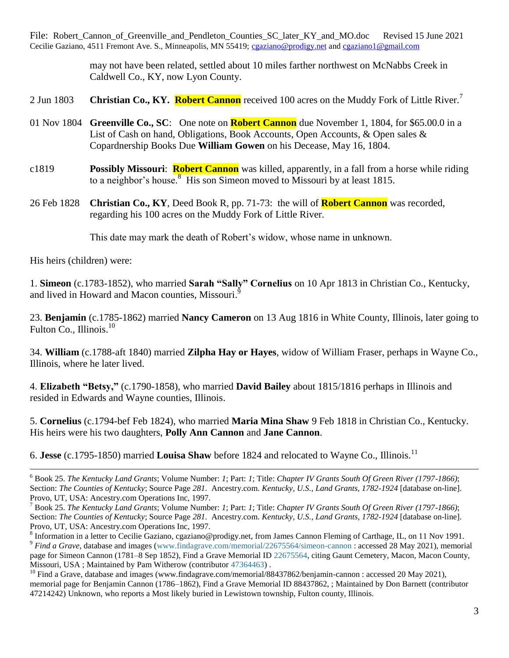File: Robert\_Cannon\_of\_Greenville\_and\_Pendleton\_Counties\_SC\_later\_KY\_and\_MO.doc Revised 15 June 2021 Cecilie Gaziano, 4511 Fremont Ave. S., Minneapolis, MN 55419; [cgaziano@prodigy.net](mailto:cgaziano@prodigy.net) an[d cgaziano1@gmail.com](mailto:cgaziano1@gmail.com)

> may not have been related, settled about 10 miles farther northwest on McNabbs Creek in Caldwell Co., KY, now Lyon County.

- 2 Jun 1803 **Christian Co., KY. Robert Cannon** received 100 acres on the Muddy Fork of Little River.<sup>7</sup>
- 01 Nov 1804 **Greenville Co., SC**: One note on **Robert Cannon** due November 1, 1804, for \$65.00.0 in a List of Cash on hand, Obligations, Book Accounts, Open Accounts, & Open sales & Copardnership Books Due **William Gowen** on his Decease, May 16, 1804.
- c1819 **Possibly Missouri**: **Robert Cannon** was killed, apparently, in a fall from a horse while riding to a neighbor's house.<sup>8</sup> His son Simeon moved to Missouri by at least 1815.
- 26 Feb 1828 **Christian Co., KY**, Deed Book R, pp. 71-73: the will of **Robert Cannon** was recorded, regarding his 100 acres on the Muddy Fork of Little River.

This date may mark the death of Robert's widow, whose name in unknown.

His heirs (children) were:

 $\overline{a}$ 

1. **Simeon** (c.1783-1852), who married **Sarah "Sally" Cornelius** on 10 Apr 1813 in Christian Co., Kentucky, and lived in Howard and Macon counties, Missouri.<sup>9</sup>

23. **Benjamin** (c.1785-1862) married **Nancy Cameron** on 13 Aug 1816 in White County, Illinois, later going to Fulton Co., Illinois. $10$ 

34. **William** (c.1788-aft 1840) married **Zilpha Hay or Hayes**, widow of William Fraser, perhaps in Wayne Co., Illinois, where he later lived.

4. **Elizabeth "Betsy,"** (c.1790-1858), who married **David Bailey** about 1815/1816 perhaps in Illinois and resided in Edwards and Wayne counties, Illinois.

5. **Cornelius** (c.1794-bef Feb 1824), who married **Maria Mina Shaw** 9 Feb 1818 in Christian Co., Kentucky. His heirs were his two daughters, **Polly Ann Cannon** and **Jane Cannon**.

6. **Jesse** (c.1795-1850) married **Louisa Shaw** before 1824 and relocated to Wayne Co., Illinois.<sup>11</sup>

<sup>6</sup> Book 25. *The Kentucky Land Grants*; Volume Number: *1*; Part: *1*; Title: *Chapter IV Grants South Of Green River (1797-1866)*; Section: *The Counties of Kentucky*; Source Page *281.* Ancestry.com. *Kentucky, U.S., Land Grants, 1782-1924* [database on-line]. Provo, UT, USA: Ancestry.com Operations Inc, 1997.

<sup>7</sup> Book 25. *The Kentucky Land Grants*; Volume Number: *1*; Part: *1*; Title: *Chapter IV Grants South Of Green River (1797-1866)*; Section: *The Counties of Kentucky*; Source Page *281.* Ancestry.com. *Kentucky, U.S., Land Grants, 1782-1924* [database on-line]. Provo, UT, USA: Ancestry.com Operations Inc, 1997.

<sup>&</sup>lt;sup>8</sup> Information in a letter to Cecilie Gaziano, cgaziano@prodigy.net, from James Cannon Fleming of Carthage, IL, on 11 Nov 1991. <sup>9</sup> *Find a Grave*, database and images [\(www.findagrave.com/memorial/22675564/simeon-cannon](https://www.findagrave.com/memorial/22675564/simeon-cannon) : accessed 28 May 2021), memorial page for Simeon Cannon (1781–8 Sep 1852), Find a Grave Memorial ID [22675564,](https://www.findagrave.com/memorial/22675564/simeon-cannon) citing Gaunt Cemetery, Macon, Macon County, Missouri, USA ; Maintained by Pam Witherow (contributor [47364463\)](https://www.findagrave.com/user/profile/47364463) .

 $^{10}$  Find a Grave, database and images (www.findagrave.com/memorial/88437862/benjamin-cannon : accessed 20 May 2021), memorial page for Benjamin Cannon (1786–1862), Find a Grave Memorial ID 88437862, ; Maintained by Don Barnett (contributor 47214242) Unknown, who reports a Most likely buried in Lewistown township, Fulton county, Illinois.